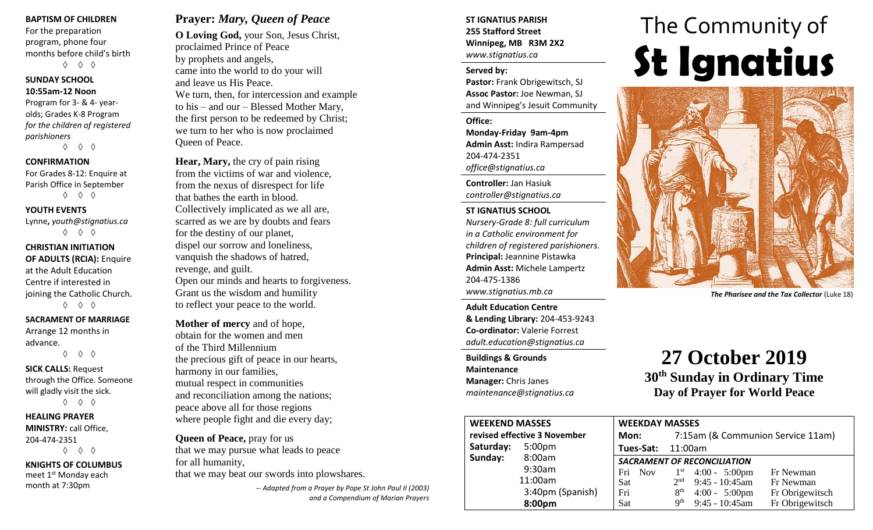#### **BAPTISM OF CHILDREN**

For the preparation program, phone four months before child's birth ◊ ◊ ◊

#### **SUNDAY SCHOOL 10:55am-12 Noon**

Program for 3- & 4- yearolds; Grades K-8 Program *for the children of registered parishioners*

◊ ◊ ◊

#### **CONFIRMATION**

For Grades 8-12: Enquire at Parish Office in September ◊ ◊ ◊

#### **YOUTH EVENTS**

Lynne**,** *youth@stignatius.ca* ◊ ◊ ◊

#### **CHRISTIAN INITIATION OF ADULTS (RCIA):** Enquire at the Adult Education Centre if interested in joining the Catholic Church. ◊ ◊ ◊

**SACRAMENT OF MARRIAGE** Arrange 12 months in advance.

◊ ◊ ◊

#### **SICK CALLS:** Request through the Office. Someone will gladly visit the sick.

◊ ◊ ◊

#### **HEALING PRAYER MINISTRY:** call Office, 204-474-2351 ◊ ◊ ◊

**KNIGHTS OF COLUMBUS** meet 1st Monday each month at 7:30pm

### **Prayer:** *Mary, Queen of Peace*

**O Loving God,** your Son, Jesus Christ, proclaimed Prince of Peace by prophets and angels, came into the world to do your will and leave us His Peace. We turn, then, for intercession and example to his – and our – Blessed Mother Mary, the first person to be redeemed by Christ; we turn to her who is now proclaimed Queen of Peace.

**Hear, Mary,** the cry of pain rising from the victims of war and violence, from the nexus of disrespect for life that bathes the earth in blood. Collectively implicated as we all are, scarred as we are by doubts and fears for the destiny of our planet, dispel our sorrow and loneliness, vanquish the shadows of hatred, revenge, and guilt. Open our minds and hearts to forgiveness. Grant us the wisdom and humility to reflect your peace to the world.

**Mother of mercy** and of hope, obtain for the women and men of the Third Millennium the precious gift of peace in our hearts, harmony in our families, mutual respect in communities and reconciliation among the nations; peace above all for those regions where people fight and die every day;

#### **Queen of Peace,** pray for us

that we may pursue what leads to peace for all humanity, that we may beat our swords into plowshares.

> *-- Adapted from a Prayer by Pope St John Paul II (2003) and a Compendium of Marian Prayers*

#### **ST IGNATIUS PARISH 255 Stafford Street Winnipeg, MB R3M 2X2** *www.stignatius.ca*

#### **Served by:**

**Pastor:** Frank Obrigewitsch, SJ **Assoc Pastor:** Joe Newman, SJ and Winnipeg's Jesuit Community

#### **Office: Monday-Friday 9am-4pm Admin Asst:** Indira Rampersad 204-474-2351

*office@stignatius.ca*

**Controller:** Jan Hasiuk *controller@stignatius.ca*

**ST IGNATIUS SCHOOL** *Nursery-Grade 8: full curriculum in a Catholic environment for children of registered parishioners.* **Principal:** Jeannine Pistawka **Admin Asst:** Michele Lampertz 204-475-1386 *www.stignatius.mb.ca*

**Adult Education Centre & Lending Library:** 204-453-9243 **Co-ordinator:** Valerie Forrest *adult.education@stignatius.ca*

**Buildings & Grounds Maintenance Manager:** Chris Janes *maintenance@stignatius.ca*

# The Community of **St Ignatius**



*The Pharisee and the Tax Collector* (Luke 18)

# **27 October 2019 30th Sunday in Ordinary Time Day of Prayer for World Peace**

| <b>WEEKEND MASSES</b>        |                    | <b>WEEKDAY MASSES</b> |                                           |                                    |                         |                 |  |  |
|------------------------------|--------------------|-----------------------|-------------------------------------------|------------------------------------|-------------------------|-----------------|--|--|
| revised effective 3 November |                    |                       | 7:15am (& Communion Service 11am)<br>Mon: |                                    |                         |                 |  |  |
| Saturday:                    | 5:00 <sub>pm</sub> |                       | <b>Tues-Sat: 11:00am</b>                  |                                    |                         |                 |  |  |
| Sunday:                      | 8:00am             |                       |                                           | <b>SACRAMENT OF RECONCILIATION</b> |                         |                 |  |  |
|                              | 9:30am             | Fri                   | <b>Nov</b>                                |                                    | $1st$ 4:00 - 5:00pm     | Fr Newman       |  |  |
|                              | 11:00am            | Sat                   |                                           | 2 <sup>nd</sup>                    | $9:45 - 10:45$ am       | Fr Newman       |  |  |
|                              | 3:40pm (Spanish)   | Fri                   |                                           | 8 <sup>th</sup>                    | $4:00 - 5:00 \text{pm}$ | Fr Obrigewitsch |  |  |
|                              | 8:00pm             | Sat                   |                                           | <b>Qth</b>                         | $9:45 - 10:45$ am       | Fr Obrigewitsch |  |  |